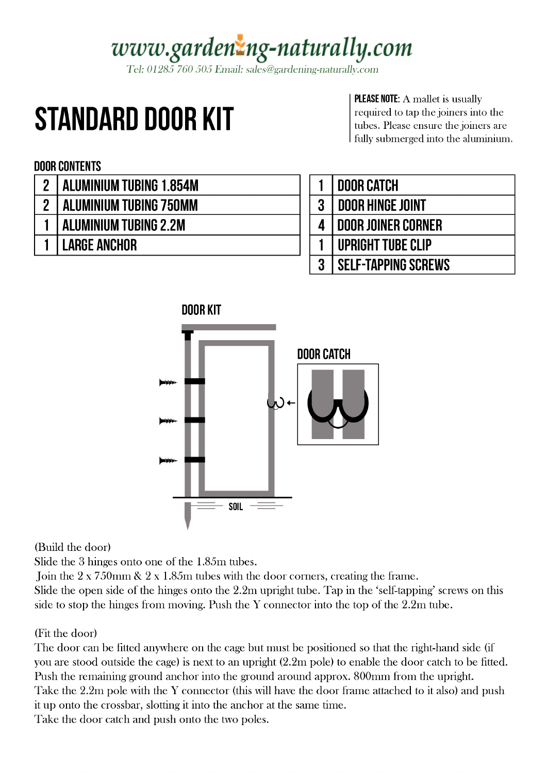# www.gardenzng-naturally.com

Tel: 01285 760 505 Email: sales@gardening-naturally.com

# **STANDARD DOOR KIT**

**PLEASE NOTE:** A mallet is usually required to tap the joiners into the tubes. Please ensure the joiners are fully submerged into the aluminium.

### **DOOR CONTENTS**

- **ALUMINIUM TUBING 1.854M**  $\overline{2}$
- **ALUMINIUM TUBING 750MM**  $\overline{2}$
- **ALUMINIUM TUBING 2.2M**  $\mathbf{1}$ 
	- **LARGE ANCHOR**  $\mathbf{1}$

|   | <b>I DOOR CATCH</b>        |
|---|----------------------------|
| 3 | <b>DOOR HINGE JOINT</b>    |
|   | <b>DOOR JOINER CORNER</b>  |
|   | UPRIGHT TUBE CLIP          |
|   | <b>SELF-TAPPING SCREWS</b> |



(Build the door)

Slide the 3 hinges onto one of the 1.85m tubes.

Join the  $2 \times 750$  mm &  $2 \times 1.85$  m tubes with the door corners, creating the frame.

Slide the open side of the hinges onto the 2.2m upright tube. Tap in the 'self-tapping' screws on this side to stop the hinges from moving. Push the Y connector into the top of the 2.2m tube.

### (Fit the door)

The door can be fitted anywhere on the cage but must be positioned so that the right-hand side (if you are stood outside the cage) is next to an upright (2.2m pole) to enable the door catch to be fitted. Push the remaining ground anchor into the ground around approx. 800mm from the upright. Take the 2.2m pole with the Y connector (this will have the door frame attached to it also) and push it up onto the crossbar, slotting it into the anchor at the same time. Take the door catch and push onto the two poles.